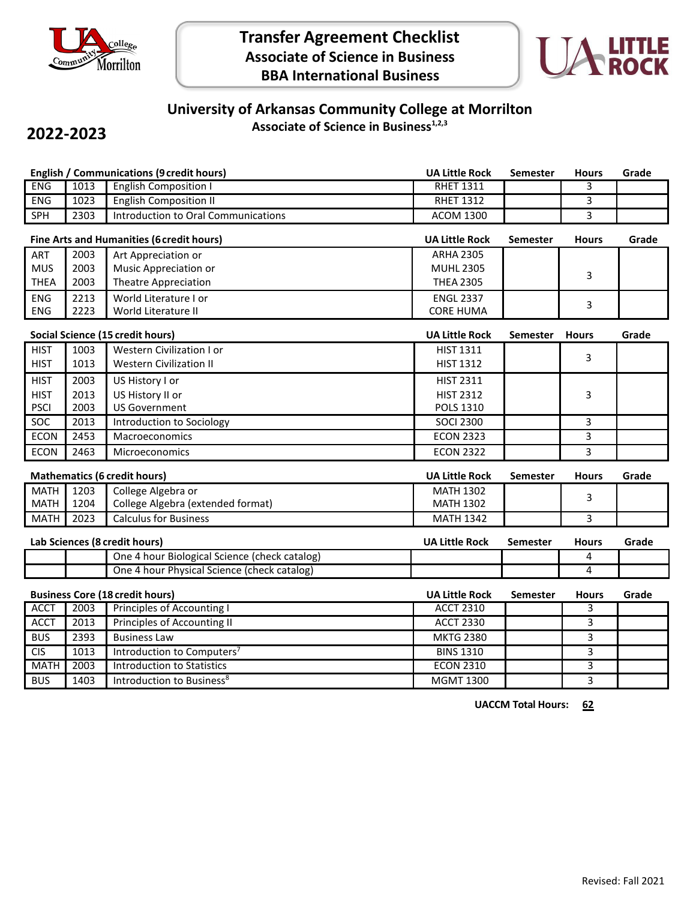



## **University of Arkansas Community College at Morrilton Associate of Science in Business1,2,3**

## **2022-2023**

|                                        |      | <b>English / Communications (9 credit hours)</b> | <b>UA Little Rock</b> | <b>Semester</b> | <b>Hours</b>   | Grade |
|----------------------------------------|------|--------------------------------------------------|-----------------------|-----------------|----------------|-------|
| <b>ENG</b>                             | 1013 | <b>English Composition I</b>                     | <b>RHET 1311</b>      |                 | 3              |       |
| <b>ENG</b>                             | 1023 | <b>English Composition II</b>                    | <b>RHET 1312</b>      |                 | 3              |       |
| <b>SPH</b>                             | 2303 | Introduction to Oral Communications              | <b>ACOM 1300</b>      |                 | 3              |       |
|                                        |      | Fine Arts and Humanities (6 credit hours)        | <b>UA Little Rock</b> | <b>Semester</b> | <b>Hours</b>   | Grade |
| ART                                    | 2003 | Art Appreciation or                              | <b>ARHA 2305</b>      |                 |                |       |
| <b>MUS</b>                             | 2003 | Music Appreciation or                            | <b>MUHL 2305</b>      |                 | 3              |       |
| <b>THEA</b>                            | 2003 | <b>Theatre Appreciation</b>                      | <b>THEA 2305</b>      |                 |                |       |
| <b>ENG</b>                             | 2213 | World Literature I or                            | <b>ENGL 2337</b>      |                 | 3              |       |
| <b>ENG</b>                             | 2223 | World Literature II                              | <b>CORE HUMA</b>      |                 |                |       |
|                                        |      | Social Science (15 credit hours)                 | <b>UA Little Rock</b> | <b>Semester</b> | <b>Hours</b>   | Grade |
| <b>HIST</b>                            | 1003 | <b>Western Civilization I or</b>                 | <b>HIST 1311</b>      |                 |                |       |
| <b>HIST</b>                            | 1013 | <b>Western Civilization II</b>                   | <b>HIST 1312</b>      |                 | 3              |       |
| <b>HIST</b>                            | 2003 | US History I or                                  | <b>HIST 2311</b>      |                 |                |       |
| <b>HIST</b>                            | 2013 | US History II or                                 | <b>HIST 2312</b>      |                 | 3              |       |
| <b>PSCI</b>                            | 2003 | <b>US Government</b>                             | <b>POLS 1310</b>      |                 |                |       |
| SOC                                    | 2013 | Introduction to Sociology                        | <b>SOCI 2300</b>      |                 | 3              |       |
| <b>ECON</b>                            | 2453 | Macroeconomics                                   | <b>ECON 2323</b>      |                 | 3              |       |
| <b>ECON</b>                            | 2463 | <b>Microeconomics</b>                            | <b>ECON 2322</b>      |                 | 3              |       |
|                                        |      | <b>Mathematics (6 credit hours)</b>              | <b>UA Little Rock</b> | <b>Semester</b> | <b>Hours</b>   | Grade |
| <b>MATH</b>                            | 1203 | College Algebra or                               | <b>MATH 1302</b>      |                 | 3              |       |
| <b>MATH</b>                            | 1204 | College Algebra (extended format)                | <b>MATH 1302</b>      |                 |                |       |
| <b>MATH</b>                            | 2023 | <b>Calculus for Business</b>                     | <b>MATH 1342</b>      |                 | $\overline{3}$ |       |
| Lab Sciences (8 credit hours)          |      |                                                  | <b>UA Little Rock</b> | <b>Semester</b> | <b>Hours</b>   | Grade |
|                                        |      | One 4 hour Biological Science (check catalog)    |                       |                 | 4              |       |
|                                        |      | One 4 hour Physical Science (check catalog)      |                       |                 | 4              |       |
| <b>Business Core (18 credit hours)</b> |      |                                                  | <b>UA Little Rock</b> | <b>Semester</b> | <b>Hours</b>   | Grade |
| <b>ACCT</b>                            | 2003 | <b>Principles of Accounting I</b>                | <b>ACCT 2310</b>      |                 | 3              |       |
| <b>ACCT</b>                            | 2013 | Principles of Accounting II                      | <b>ACCT 2330</b>      |                 | 3              |       |
| <b>BUS</b>                             | 2393 | <b>Business Law</b>                              | <b>MKTG 2380</b>      |                 | 3              |       |
| <b>CIS</b>                             | 1013 | Introduction to Computers <sup>7</sup>           | <b>BINS 1310</b>      |                 | 3              |       |
| <b>MATH</b>                            | 2003 | <b>Introduction to Statistics</b>                | <b>ECON 2310</b>      |                 | 3              |       |
| <b>BUS</b>                             | 1403 | Introduction to Business <sup>8</sup>            | <b>MGMT 1300</b>      |                 | 3              |       |
|                                        |      |                                                  |                       |                 |                |       |

**UACCM Total Hours: 62**